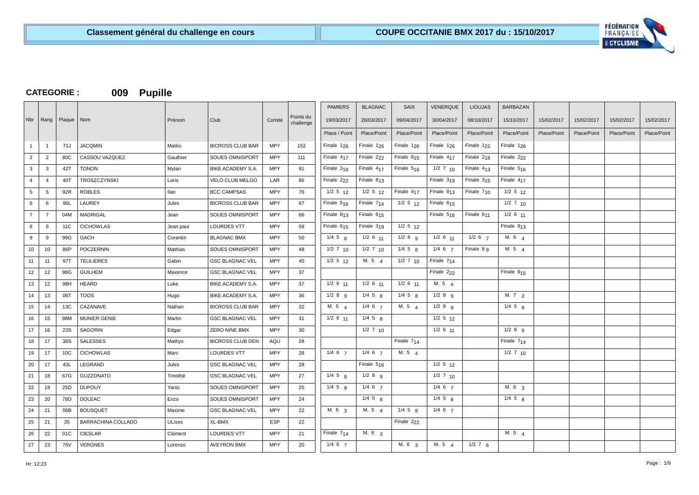

# **CATEGORIE : 009 Pupille**

|                 |                |              |                     |                |                         |            |                        | <b>PAMIERS</b>         | <b>BLAGNAC</b>         | <b>SAIX</b>            | <b>VENERQUE</b>        | <b>LIOUJAS</b> | <b>BARBAZAN</b>        |             |             |             |             |
|-----------------|----------------|--------------|---------------------|----------------|-------------------------|------------|------------------------|------------------------|------------------------|------------------------|------------------------|----------------|------------------------|-------------|-------------|-------------|-------------|
| Nbr             | Rang           | Plaque   Nom |                     | Prénom         | Club                    | Comité     | Points du<br>challenge | 19/03/2017             | 26/03/2017             | 09/04/2017             | 30/04/2017             | 08/10/2017     | 15/10/2017             | 15/02/2017  | 15/02/2017  | 15/02/2017  | 15/02/2017  |
|                 |                |              |                     |                |                         |            |                        | Place / Point          | Place/Point            | Place/Point            | Place/Point            | Place/Point    | Place/Point            | Place/Point | Place/Point | Place/Point | Place/Point |
| $\overline{1}$  | $\overline{1}$ | 71J          | <b>JACQMIN</b>      | Matéo          | <b>BICROSS CLUB BAR</b> | <b>MPY</b> | 152                    | Finale $1_{26}$        | Finale $1_{26}$        | Finale 1 <sub>26</sub> | Finale $1_{26}$        | Finale $122$   | Finale $126$           |             |             |             |             |
| $\overline{2}$  | $\overline{2}$ | 80C          | CASSOU VAZQUEZ      | Gauthier       | SOUES OMNISPORT         | <b>MPY</b> | 111                    | Finale $417$           | Finale 2 <sub>22</sub> | Finale $615$           | Finale 4 <sub>17</sub> | Finale $218$   | Finale 2 <sub>22</sub> |             |             |             |             |
| $\mathbf{3}$    | 3              | 42T          | <b>TONON</b>        | Mylan          | BIKE ACADEMY S.A.       | <b>MPY</b> | 91                     | Finale $319$           | Finale $417$           | Finale $516$           | $1/2$ 7 $10$           | Finale $413$   | Finale $516$           |             |             |             |             |
| $\overline{4}$  | $\overline{4}$ | 40T          | TROSZCZYNSKI        | Loris          | VELO CLUB MELGO         | LAR        | 86                     | Finale 2 <sub>22</sub> | Finale $813$           |                        | Finale $319$           | Finale $315$   | Finale 4 <sub>17</sub> |             |             |             |             |
| $5\overline{5}$ | 5              | 92R          | <b>ROBLES</b>       | llan           | <b>BCC CAMPSAS</b>      | <b>MPY</b> | 76                     | $1/2$ 5 $12$           | $1/2$ 5 $12$           | Finale 4 <sub>17</sub> | Finale $813$           | Finale $710$   | $1/2$ 5 $12$           |             |             |             |             |
| 6               | 6              | 96L          | <b>LAUREY</b>       | Jules          | <b>BICROSS CLUB BAR</b> | <b>MPY</b> | 67                     | Finale $516$           | Finale 7 <sub>14</sub> | $1/2$ 5 $12$           | Finale 615             |                | $1/2$ 7 $10$           |             |             |             |             |
| $\overline{7}$  | $\overline{7}$ | 04M          | <b>MADRIGAL</b>     | Jean           | SOUES OMNISPORT         | <b>MPY</b> | 66                     | Finale $813$           | Finale $615$           |                        | Finale $516$           | Finale 611     | $1/2$ 6 11             |             |             |             |             |
| 8               | 8              | 11C          | <b>CICHOWLAS</b>    | Jean paul      | <b>LOURDES VTT</b>      | <b>MPY</b> | 59                     | Finale $615$           | Finale 319             | $1/2$ 5 12             |                        |                | Finale $813$           |             |             |             |             |
| 9               | 9              | 99G          | GACH                | Corentin       | <b>BLAGNAC BMX</b>      | <b>MPY</b> | 50                     | $1/4$ 5 $8$            | $1/2$ 6 $11$           | $1/2$ 8 $9$            | $1/2$ 6 $11$           | $1/2$ 6 $7$    | M. 5 4                 |             |             |             |             |
| 10 <sup>1</sup> | 10             | 86P          | POCZERNIN           | <b>Mathias</b> | SOUES OMNISPORT         | <b>MPY</b> | 48                     | $1/2$ 7 10             | $1/2$ 7 10             | $1/4$ 5 $R$            | $1/4$ 6 $7$            | Finale 8 9     | M. 5 4                 |             |             |             |             |
| 11              | 11             | 97T          | <b>TEULIERES</b>    | Gabin          | <b>GSC BLAGNAC VEL</b>  | <b>MPY</b> | 40                     | $1/2$ 5 $12$           | M. 5 4                 | $1/2$ 7 10             | Finale 714             |                |                        |             |             |             |             |
| 12              | 12             | 98G          | <b>GUILHEM</b>      | Maxence        | <b>GSC BLAGNAC VEL</b>  | <b>MPY</b> | 37                     |                        |                        |                        | Finale 2 <sub>22</sub> |                | Finale $615$           |             |             |             |             |
| 13              | 12             | 98H          | <b>HEARD</b>        | Luke           | BIKE ACADEMY S.A.       | <b>MPY</b> | 37                     | $1/2$ 6 $11$           | $1/2$ 6 $11$           | $1/2$ 6 $11$           | M. 5 $4$               |                |                        |             |             |             |             |
| 14              | 13             | 06T          | <b>TOOS</b>         | Hugo           | BIKE ACADEMY S.A.       | <b>MPY</b> | 36                     | $1/2$ 8 g              | $1/4$ 5 $R$            | $1/4$ 5 $R$            | $1/2$ 8 $9$            |                | M. $7\frac{2}{2}$      |             |             |             |             |
| 15              | 14             | 13C          | CAZANAVE            | Nathan         | <b>BICROSS CLUB BAR</b> | <b>MPY</b> | 32                     | M. 54                  | $1/4$ 6 $7$            | M. 5 $4$               | $1/2$ 8 $9$            |                | $1/4$ 5 $8$            |             |             |             |             |
| 16              | 15             | 98M          | <b>MUNIER GENIE</b> | Martin         | <b>GSC BLAGNAC VEL</b>  | <b>MPY</b> | 31                     | $1/2$ 6 $11$           | $1/4$ 5 $8$            |                        | $1/2$ 5 12             |                |                        |             |             |             |             |
| 17              | 16             | <b>23S</b>   | SAGORIN             | Edgar          | <b>ZERO NINE BMX</b>    | <b>MPY</b> | 30                     |                        | $1/2$ 7 $10$           |                        | $1/2$ 6 $11$           |                | $1/2$ 8 g              |             |             |             |             |
| 18              | 17             | 38S          | <b>SALESSES</b>     | Mathys         | <b>BICROSS CLUB DEN</b> | AQU        | 28                     |                        |                        | Finale $714$           |                        |                | Finale $714$           |             |             |             |             |
| 19              | 17             | 10C          | <b>CICHOWLAS</b>    | Marc           | <b>LOURDES VTT</b>      | <b>MPY</b> | 28                     | $1/4$ 6 $7$            | $1/4$ 6 $7$            | M. 5 4                 |                        |                | $1/2$ 7 10             |             |             |             |             |
| 20              | 17             | 43L          | LEGRAND             | Jules          | <b>GSC BLAGNAC VEL</b>  | <b>MPY</b> | 28                     |                        | Finale $516$           |                        | $1/2$ 5 $12$           |                |                        |             |             |             |             |
| 21              | 18             | 67G          | <b>GUZZONATO</b>    | Timothé        | <b>GSC BLAGNAC VEL</b>  | <b>MPY</b> | 27                     | $1/4$ 5 $8$            | $1/2$ 8 $9$            |                        | $1/2$ 7 $10$           |                |                        |             |             |             |             |
| 22              | 19             | 25D          | <b>DUPOUY</b>       | Yanis          | SOUES OMNISPORT         | <b>MPY</b> | 25                     | $1/4$ 5 $8$            | $1/4$ 6 $7$            |                        | $1/4 \t6 \t7$          |                | M. 6 3                 |             |             |             |             |
| 23              | 20             | 78D          | <b>DOLEAC</b>       | Enzo           | <b>SOUES OMNISPORT</b>  | <b>MPY</b> | 24                     |                        | $1/4$ 5 $R$            |                        | $1/4$ 5 $R$            |                | $1/4$ 5 $8$            |             |             |             |             |
| 24              | 21             | 06B          | <b>BOUSQUET</b>     | Maxime         | <b>GSC BLAGNAC VEL</b>  | <b>MPY</b> | 22                     | M. 6 3                 | M. 5 4                 | $1/4$ 5 $8$            | $1/4$ 6 $7$            |                |                        |             |             |             |             |
| 25              | 21             | 35           | BARRACHINA COLLADO  | <b>ULises</b>  | XL-BMX                  | <b>ESP</b> | 22                     |                        |                        | Finale 2 <sub>22</sub> |                        |                |                        |             |             |             |             |
| 26              | 22             | 01C          | <b>CIESLAR</b>      | Clément        | <b>LOURDES VTT</b>      | <b>MPY</b> | 21                     | Finale $714$           | M. 6 <sub>3</sub>      |                        |                        |                | M. 5 $4$               |             |             |             |             |
| 27              | 23             | 76V          | <b>VERGNES</b>      | Lorenzo        | AVEYRON BMX             | <b>MPY</b> | 20                     | $1/4$ 6 $7$            |                        | M. 6 <sub>3</sub>      | M. 5 $\mu$             | $1/2$ 7 6      |                        |             |             |             |             |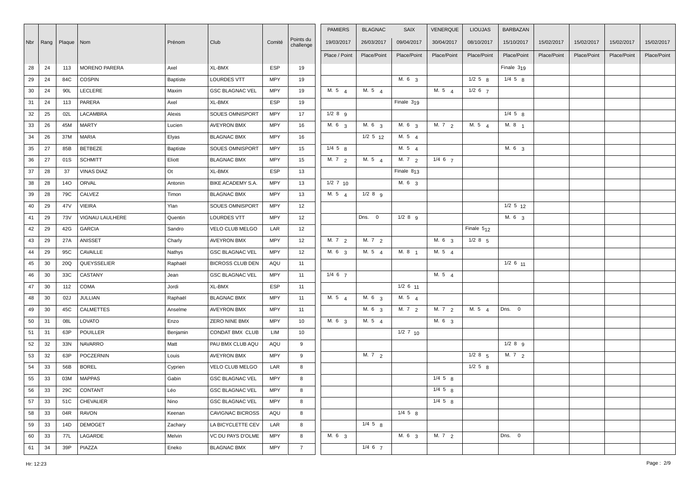|    |    |                           |                      |          |                         |            |                        | <b>PAMIERS</b>    | <b>BLAGNAC</b>    | <b>SAIX</b>       | VENERQUE          | <b>LIOUJAS</b> | <b>BARBAZAN</b> |             |             |             |             |
|----|----|---------------------------|----------------------|----------|-------------------------|------------|------------------------|-------------------|-------------------|-------------------|-------------------|----------------|-----------------|-------------|-------------|-------------|-------------|
|    |    | Nbr   Rang   Plaque   Nom |                      | Prénom   | Club                    | Comité     | Points du<br>challenge | 19/03/2017        | 26/03/2017        | 09/04/2017        | 30/04/2017        | 08/10/2017     | 15/10/2017      | 15/02/2017  | 15/02/2017  | 15/02/2017  | 15/02/2017  |
|    |    |                           |                      |          |                         |            |                        | Place / Point     | Place/Point       | Place/Point       | Place/Point       | Place/Point    | Place/Point     | Place/Point | Place/Point | Place/Point | Place/Point |
| 28 | 24 | 113                       | <b>MORENO PARERA</b> | Axel     | XL-BMX                  | <b>ESP</b> | 19                     |                   |                   |                   |                   |                | Finale $319$    |             |             |             |             |
| 29 | 24 | 84C                       | <b>COSPIN</b>        | Baptiste | <b>LOURDES VTT</b>      | <b>MPY</b> | 19                     |                   |                   | M. 6 <sub>3</sub> |                   | $1/2$ 5 $g$    | $1/4$ 5 $8$     |             |             |             |             |
| 30 | 24 | 90L                       | LECLERE              | Maxim    | <b>GSC BLAGNAC VEL</b>  | <b>MPY</b> | 19                     | M.54              | M.54              |                   | M. 5 $4$          | $1/2$ 6 $7$    |                 |             |             |             |             |
| 31 |    | 113                       | PARERA               | Axel     | XL-BMX                  | <b>ESP</b> | 19                     |                   |                   | Finale 319        |                   |                |                 |             |             |             |             |
|    | 24 | 02L                       | LACAMBRA             | Alexis   | <b>SOUES OMNISPORT</b>  | <b>MPY</b> | 17                     | $1/2$ 8 $9$       |                   |                   |                   |                | $1/4$ 5 $8$     |             |             |             |             |
| 32 | 25 |                           |                      |          |                         | <b>MPY</b> |                        | M. 6 3            | M. 6 3            | M. 6 3            | M. $7\frac{2}{2}$ | M. 5 4         | M. 8 1          |             |             |             |             |
| 33 | 26 | 45M                       | <b>MARTY</b>         | Lucien   | <b>AVEYRON BMX</b>      |            | 16                     |                   |                   |                   |                   |                |                 |             |             |             |             |
| 34 | 26 | 37M                       | <b>MARIA</b>         | Elyas    | <b>BLAGNAC BMX</b>      | <b>MPY</b> | 16                     |                   | $1/2$ 5 $12$      | M.54              |                   |                |                 |             |             |             |             |
| 35 | 27 | 85B                       | <b>BETBEZE</b>       | Baptiste | <b>SOUES OMNISPORT</b>  | <b>MPY</b> | 15                     | $1/4$ 5 $8$       |                   | M. 5 4            |                   |                | M. 63           |             |             |             |             |
| 36 | 27 | 01S                       | <b>SCHMITT</b>       | Eliott   | <b>BLAGNAC BMX</b>      | <b>MPY</b> | 15                     | M. $7\frac{2}{2}$ | M. 5 4            | M.72              | $1/4$ 6 $7$       |                |                 |             |             |             |             |
| 37 | 28 | 37                        | <b>VINAS DIAZ</b>    | Ot       | XL-BMX                  | ESP        | 13                     |                   |                   | Finale $813$      |                   |                |                 |             |             |             |             |
| 38 | 28 | <b>14O</b>                | <b>ORVAL</b>         | Antonin  | BIKE ACADEMY S.A.       | <b>MPY</b> | 13                     | $1/2$ 7 10        |                   | M. 6 3            |                   |                |                 |             |             |             |             |
| 39 | 28 | 79C                       | CALVEZ               | Timon    | <b>BLAGNAC BMX</b>      | <b>MPY</b> | 13                     | M. $5\quad 4$     | $1/2$ 8 $9$       |                   |                   |                |                 |             |             |             |             |
| 40 | 29 | 47V                       | <b>VIEIRA</b>        | Ylan     | <b>SOUES OMNISPORT</b>  | <b>MPY</b> | 12                     |                   |                   |                   |                   |                | $1/2$ 5 $12$    |             |             |             |             |
| 41 | 29 | <b>73V</b>                | VIGNAU LAULHERE      | Quentin  | <b>LOURDES VTT</b>      | <b>MPY</b> | 12                     |                   | Dns. 0            | $1/2$ 8 $9$       |                   |                | M. 6 3          |             |             |             |             |
| 42 | 29 | 42G                       | GARCIA               | Sandro   | VELO CLUB MELGO         | LAR        | 12                     |                   |                   |                   |                   | Finale $512$   |                 |             |             |             |             |
| 43 | 29 | 27A                       | ANISSET              | Charly   | <b>AVEYRON BMX</b>      | <b>MPY</b> | 12                     | M. 7 2            | M. $7\frac{2}{2}$ |                   | M. 6 3            | $1/2$ 8 $5$    |                 |             |             |             |             |
| 44 | 29 | 95C                       | CAVAILLE             | Nathys   | <b>GSC BLAGNAC VEL</b>  | <b>MPY</b> | 12                     | M. 6 <sub>3</sub> | M. 5 4            | M. 8 <sub>1</sub> | M. 5 $4$          |                |                 |             |             |             |             |
| 45 | 30 | 20Q                       | QUEYSSELIER          | Raphaël  | <b>BICROSS CLUB DEN</b> | AQU        | 11                     |                   |                   |                   |                   |                | $1/2$ 6 $11$    |             |             |             |             |
| 46 | 30 | 33C                       | CASTANY              | Jean     | <b>GSC BLAGNAC VEL</b>  | <b>MPY</b> | 11                     | $1/4$ 6 $7$       |                   |                   | M. $5 \quad 4$    |                |                 |             |             |             |             |
| 47 | 30 | 112                       | COMA                 | Jordi    | XL-BMX                  | <b>ESP</b> | 11                     |                   |                   | $1/2$ 6 $11$      |                   |                |                 |             |             |             |             |
| 48 | 30 | 02J                       | <b>JULLIAN</b>       | Raphaël  | <b>BLAGNAC BMX</b>      | <b>MPY</b> | 11                     | M. 5 4            | M. 6 3            | M. 5 4            |                   |                |                 |             |             |             |             |
| 49 | 30 | 45C                       | CALMETTES            | Anselme  | <b>AVEYRON BMX</b>      | <b>MPY</b> | 11                     |                   | M. 6 3            | M. 7 2            | M. 7 2            | M. 54          | Dns. 0          |             |             |             |             |
| 50 | 31 | 08L                       | LOVATO               | Enzo     | ZERO NINE BMX           | <b>MPY</b> | 10                     | M. 6 3            | M. 5 4            |                   | M. 6 3            |                |                 |             |             |             |             |
| 51 | 31 | 63P                       | POUILLER             | Benjamin | CONDAT BMX CLUB         | LIM        | 10                     |                   |                   | $1/2$ 7 10        |                   |                |                 |             |             |             |             |
| 52 | 32 | 33N                       | NAVARRO              | Matt     | PAU BMX CLUB AQU        | AQU        | 9                      |                   |                   |                   |                   |                | $1/2$ 8 $9$     |             |             |             |             |
| 53 | 32 | 63P                       | POCZERNIN            | Louis    | <b>AVEYRON BMX</b>      | <b>MPY</b> | 9                      |                   | M. $7\frac{2}{2}$ |                   |                   | $1/2$ 8 $5$    | M. 7 2          |             |             |             |             |
| 54 | 33 | 56B                       | <b>BOREL</b>         | Cyprien  | VELO CLUB MELGO         | LAR        | 8                      |                   |                   |                   |                   | $1/2$ 5 $8$    |                 |             |             |             |             |
| 55 | 33 | 03M                       | <b>MAPPAS</b>        | Gabin    | <b>GSC BLAGNAC VEL</b>  | <b>MPY</b> | 8                      |                   |                   |                   | $1/4$ 5 $8$       |                |                 |             |             |             |             |
| 56 | 33 | 29C                       | CONTANT              | Léo      | <b>GSC BLAGNAC VEL</b>  | <b>MPY</b> | 8                      |                   |                   |                   | $1/4$ 5 $8$       |                |                 |             |             |             |             |
| 57 | 33 | 51C                       | <b>CHEVALIER</b>     | Nino     | <b>GSC BLAGNAC VEL</b>  | <b>MPY</b> | 8                      |                   |                   |                   | $1/4$ 5 $8$       |                |                 |             |             |             |             |
| 58 | 33 | 04R                       | <b>RAVON</b>         | Keenan   | <b>CAVIGNAC BICROSS</b> | AQU        | 8                      |                   |                   | $1/4$ 5 $8$       |                   |                |                 |             |             |             |             |
| 59 | 33 | 14D                       | <b>DEMOGET</b>       | Zachary  | LA BICYCLETTE CEV       | LAR        | 8                      |                   | $1/4$ 5 $8$       |                   |                   |                |                 |             |             |             |             |
| 60 | 33 | 77L                       | LAGARDE              | Melvin   | VC DU PAYS D'OLME       | <b>MPY</b> | 8                      | M. 6 3            |                   | M. 6 3            | M. 72             |                | Dns. 0          |             |             |             |             |
| 61 | 34 | 39P                       | PIAZZA               | Eneko    | <b>BLAGNAC BMX</b>      | <b>MPY</b> | $\overline{7}$         |                   | $1/4$ 6 $7$       |                   |                   |                |                 |             |             |             |             |
|    |    |                           |                      |          |                         |            |                        |                   |                   |                   |                   |                |                 |             |             |             |             |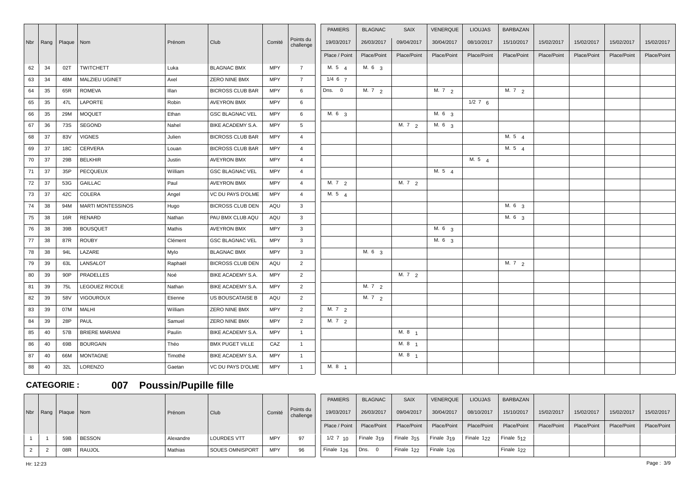|    |          |              |                          |         |                         |            |                        | <b>PAMIERS</b>    | <b>BLAGNAC</b>    | <b>SAIX</b>       | VENERQUE          | <b>LIOUJAS</b>    | <b>BARBAZAN</b>   |             |             |             |             |
|----|----------|--------------|--------------------------|---------|-------------------------|------------|------------------------|-------------------|-------------------|-------------------|-------------------|-------------------|-------------------|-------------|-------------|-------------|-------------|
|    | Nbr Rang | Plaque   Nom |                          | Prénom  | Club                    | Comité     | Points du<br>challenge | 19/03/2017        | 26/03/2017        | 09/04/2017        | 30/04/2017        | 08/10/2017        | 15/10/2017        | 15/02/2017  | 15/02/2017  | 15/02/2017  | 15/02/2017  |
|    |          |              |                          |         |                         |            |                        | Place / Point     | Place/Point       | Place/Point       | Place/Point       | Place/Point       | Place/Point       | Place/Point | Place/Point | Place/Point | Place/Point |
| 62 | 34       | 02T          | <b>TWITCHETT</b>         | Luka    | <b>BLAGNAC BMX</b>      | <b>MPY</b> | $\overline{7}$         | M. 5 $4$          | M. 6 <sub>3</sub> |                   |                   |                   |                   |             |             |             |             |
| 63 | 34       | 48M          | MALZIEU UGINET           | Axel    | ZERO NINE BMX           | <b>MPY</b> | $\overline{7}$         | $1/4$ 6 $7$       |                   |                   |                   |                   |                   |             |             |             |             |
| 64 | 35       | 65R          | <b>ROMEVA</b>            | Illan   | <b>BICROSS CLUB BAR</b> | <b>MPY</b> | 6                      | Dns. 0            | M. $7\frac{2}{2}$ |                   | M. $7\frac{2}{2}$ |                   | M. $7\frac{2}{2}$ |             |             |             |             |
| 65 | 35       | 47L          | <b>LAPORTE</b>           | Robin   | <b>AVEYRON BMX</b>      | <b>MPY</b> | 6                      |                   |                   |                   |                   | $\frac{1}{2}$ 7 6 |                   |             |             |             |             |
| 66 | 35       | 29M          | <b>MOQUET</b>            | Ethan   | <b>GSC BLAGNAC VEL</b>  | MPY        | 6                      | M. 6 <sub>3</sub> |                   |                   | M. 6 <sub>3</sub> |                   |                   |             |             |             |             |
| 67 | 36       | 73S          | <b>SEGOND</b>            | Nahel   | BIKE ACADEMY S.A.       | <b>MPY</b> | $5^{\circ}$            |                   |                   | M. 7 2            | M. 6 3            |                   |                   |             |             |             |             |
| 68 | 37       | 83V          | <b>VIGNES</b>            | Julien  | <b>BICROSS CLUB BAR</b> | <b>MPY</b> | $\overline{4}$         |                   |                   |                   |                   |                   | M. 5 4            |             |             |             |             |
| 69 | 37       | 18C          | <b>CERVERA</b>           | Louan   | <b>BICROSS CLUB BAR</b> | MPY        | $\overline{4}$         |                   |                   |                   |                   |                   | M. 5 4            |             |             |             |             |
| 70 | 37       | 29B          | <b>BELKHIR</b>           | Justin  | <b>AVEYRON BMX</b>      | <b>MPY</b> | $\overline{4}$         |                   |                   |                   |                   | M. 5 4            |                   |             |             |             |             |
| 71 | 37       | 35P          | <b>PECQUEUX</b>          | William | <b>GSC BLAGNAC VEL</b>  | <b>MPY</b> | $\overline{4}$         |                   |                   |                   | M. 5 4            |                   |                   |             |             |             |             |
| 72 | 37       | 53G          | <b>GAILLAC</b>           | Paul    | <b>AVEYRON BMX</b>      | MPY        | $\overline{4}$         | M. 7 2            |                   | M. 7 2            |                   |                   |                   |             |             |             |             |
| 73 | 37       | 42C          | COLERA                   | Angel   | VC DU PAYS D'OLME       | MPY        | $\overline{4}$         | M. $5\quad 4$     |                   |                   |                   |                   |                   |             |             |             |             |
| 74 | 38       | 94M          | <b>MARTI MONTESSINOS</b> | Hugo    | <b>BICROSS CLUB DEN</b> | AQU        | $\mathbf{3}$           |                   |                   |                   |                   |                   | M. 6.3            |             |             |             |             |
| 75 | 38       | 16R          | RENARD                   | Nathan  | PAU BMX CLUB AQU        | AQU        | $\mathbf{3}$           |                   |                   |                   |                   |                   | M. 6 <sub>3</sub> |             |             |             |             |
| 76 | 38       | 39B          | <b>BOUSQUET</b>          | Mathis  | <b>AVEYRON BMX</b>      | <b>MPY</b> | $\mathbf{3}$           |                   |                   |                   | M.6 <sub>3</sub>  |                   |                   |             |             |             |             |
| 77 | 38       | 87R          | <b>ROUBY</b>             | Clément | <b>GSC BLAGNAC VEL</b>  | <b>MPY</b> | $\mathbf{3}$           |                   |                   |                   | M. 6 <sub>3</sub> |                   |                   |             |             |             |             |
| 78 | 38       | 94L          | LAZARE                   | Mylo    | <b>BLAGNAC BMX</b>      | <b>MPY</b> | $\mathbf{3}$           |                   | M. 6 3            |                   |                   |                   |                   |             |             |             |             |
| 79 | 39       | 63L          | LANSALOT                 | Raphaël | <b>BICROSS CLUB DEN</b> | AQU        | $\overline{2}$         |                   |                   |                   |                   |                   | M. 7 2            |             |             |             |             |
| 80 | 39       | 90P          | <b>PRADELLES</b>         | Noé     | BIKE ACADEMY S.A.       | MPY        | $\overline{2}$         |                   |                   | M. 7 2            |                   |                   |                   |             |             |             |             |
| 81 | 39       | 75L          | LEGOUEZ RICOLE           | Nathan  | BIKE ACADEMY S.A.       | MPY        | $\overline{2}$         |                   | M. 7 2            |                   |                   |                   |                   |             |             |             |             |
| 82 | 39       | 58V          | <b>VIGOUROUX</b>         | Etienne | US BOUSCATAISE B        | AQU        | $\overline{2}$         |                   | M. 7 2            |                   |                   |                   |                   |             |             |             |             |
| 83 | 39       | 07M          | MALHI                    | William | ZERO NINE BMX           | <b>MPY</b> | 2                      | M. 7 2            |                   |                   |                   |                   |                   |             |             |             |             |
| 84 | 39       | 28P          | PAUL                     | Samuel  | ZERO NINE BMX           | <b>MPY</b> | 2                      | M. 7 2            |                   |                   |                   |                   |                   |             |             |             |             |
| 85 | 40       | 57B          | <b>BRIERE MARIANI</b>    | Paulin  | BIKE ACADEMY S.A.       | MPY        | $\overline{1}$         |                   |                   | M. 8 1            |                   |                   |                   |             |             |             |             |
| 86 | 40       | 69B          | <b>BOURGAIN</b>          | Théo    | <b>BMX PUGET VILLE</b>  | CAZ        | $\overline{1}$         |                   |                   | M. 8 <sub>1</sub> |                   |                   |                   |             |             |             |             |
| 87 | 40       | 66M          | <b>MONTAGNE</b>          | Timothé | BIKE ACADEMY S.A.       | <b>MPY</b> | $\overline{1}$         |                   |                   | M. 8 <sub>1</sub> |                   |                   |                   |             |             |             |             |
| 88 | 40       | 32L          | LORENZO                  | Gaetan  | VC DU PAYS D'OLME       | <b>MPY</b> | $\overline{1}$         | M. 8 <sub>1</sub> |                   |                   |                   |                   |                   |             |             |             |             |

### **CATEGORIE : 007 Poussin/Pupille fille**

|  |                           |               |           |                    |            |                        | <b>PAMIERS</b> | <b>BLAGNAC</b>         | <b>SAIX</b>            | VENERQUE                        | <b>LIOUJAS</b> | BARBAZAN               |             |             |             |             |
|--|---------------------------|---------------|-----------|--------------------|------------|------------------------|----------------|------------------------|------------------------|---------------------------------|----------------|------------------------|-------------|-------------|-------------|-------------|
|  | Nbr   Rang   Plaque   Nom |               | Prénom    | Club               | Comité     | Points du<br>challenge | 19/03/2017     | 26/03/2017             | 09/04/2017             | 30/04/2017                      | 08/10/2017     | 15/10/2017             | 15/02/2017  | 15/02/2017  | 15/02/2017  | 15/02/2017  |
|  |                           |               |           |                    |            |                        | Place / Point  | Place/Point            | Place/Point            | Place/Point                     | Place/Point    | Place/Point            | Place/Point | Place/Point | Place/Point | Place/Point |
|  | 59B                       | <b>BESSON</b> | Alexandre | <b>LOURDES VTT</b> | MPY        | 97                     | $1/2$ 7 $10$   | Finale 3 <sub>19</sub> | Finale $315$           | Finale $3_{19}$ Finale $1_{22}$ |                | Finale $512$           |             |             |             |             |
|  | 08R                       | <b>RAUJOL</b> | Mathias   | SOUES OMNISPORT    | <b>MPY</b> | 96                     | Finale $126$   | $ $ Dns. 0             | Finale 1 <sub>22</sub> | Finale $126$                    |                | Finale 1 <sub>22</sub> |             |             |             |             |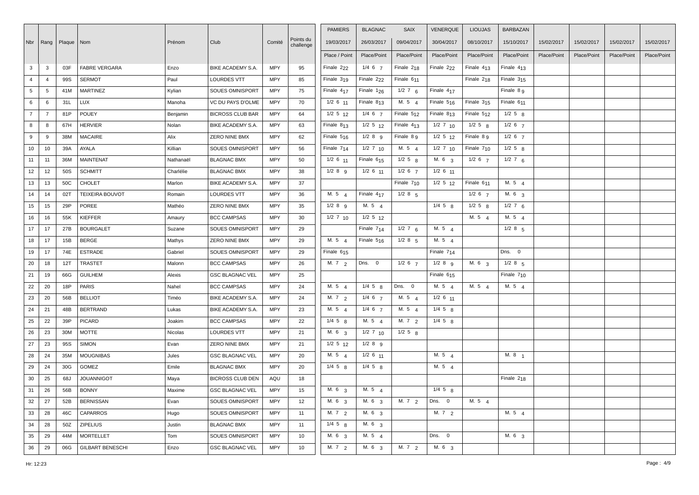|                 |                |                           |                         |           |                          |            |                        | <b>PAMIERS</b>         | <b>BLAGNAC</b>         | <b>SAIX</b>            | <b>VENERQUE</b> | <b>LIOUJAS</b>         | <b>BARBAZAN</b>        |             |             |             |             |
|-----------------|----------------|---------------------------|-------------------------|-----------|--------------------------|------------|------------------------|------------------------|------------------------|------------------------|-----------------|------------------------|------------------------|-------------|-------------|-------------|-------------|
|                 |                | Nbr   Rang   Plaque   Nom |                         | Prénom    | Club                     | Comité     | Points du<br>challenge | 19/03/2017             | 26/03/2017             | 09/04/2017             | 30/04/2017      | 08/10/2017             | 15/10/2017             | 15/02/2017  | 15/02/2017  | 15/02/2017  | 15/02/2017  |
|                 |                |                           |                         |           |                          |            |                        | Place / Point          | Place/Point            | Place/Point            | Place/Point     | Place/Point            | Place/Point            | Place/Point | Place/Point | Place/Point | Place/Point |
| $\mathbf{3}$    | $\mathbf{3}$   | 03F                       | <b>FABRE VERGARA</b>    | Enzo      | BIKE ACADEMY S.A.        | <b>MPY</b> | 95                     | Finale 2 <sub>22</sub> | $1/4 \t6 \t7$          | Finale $2_{18}$        | Finale $222$    | Finale $413$           | Finale $413$           |             |             |             |             |
| $\overline{4}$  | $\overline{4}$ | 99S                       | <b>SERMOT</b>           | Paul      | <b>LOURDES VTT</b>       | <b>MPY</b> | 85                     | Finale $319$           | Finale 2 <sub>22</sub> | Finale 6 <sub>11</sub> |                 | Finale $2_{18}$        | Finale $315$           |             |             |             |             |
| $5\overline{5}$ | 5              | 41M                       | <b>MARTINEZ</b>         | Kylian    | SOUES OMNISPORT          | <b>MPY</b> | 75                     | Finale $417$           | Finale $1_{26}$        | $1/2$ 7 6              | Finale $417$    |                        | Finale 8 g             |             |             |             |             |
| 6               | 6              | 31L                       | LUX                     | Manoha    | VC DU PAYS D'OLME        | <b>MPY</b> | 70                     | $1/2$ 6 $11$           | Finale $813$           | M. 5 $4$               | Finale $5_{16}$ | Finale $315$           | Finale 6 <sub>11</sub> |             |             |             |             |
| $\overline{7}$  | $\overline{7}$ | 81P                       | POUEY                   | Benjamin  | <b>BICROSS CLUB BAR</b>  | <b>MPY</b> | 64                     | $1/2$ 5 $12$           | $1/4$ 6 $7$            | Finale $512$           | Finale $813$    | Finale $512$           | $1/2$ 5 $8$            |             |             |             |             |
| 8               | 8              | 67H                       | <b>HERVIER</b>          | Nolan     | BIKE ACADEMY S.A.        | <b>MPY</b> | 63                     | Finale $813$           | $1/2$ 5 $12$           | Finale 413             | $1/2$ 7 $10$    | $1/2$ 5 $8$            | $1/2$ 6 7              |             |             |             |             |
| 9               | 9              | 38M                       | <b>MACAIRE</b>          | Alix      | ZERO NINE BMX            | MPY        | 62                     | Finale 516             | $1/2$ 8 $9$            | Finale 8 9             | $1/2$ 5 $12$    | Finale 8 9             | $1/2$ 6 7              |             |             |             |             |
| 10              | 10             | 39A                       | AYALA                   | Killian   | SOUES OMNISPORT          | <b>MPY</b> | 56                     | Finale 714             | $1/2$ 7 $10$           | M. 5 4                 | $1/2$ 7 $10$    | Finale 7 <sub>10</sub> | $1/2$ 5 $8$            |             |             |             |             |
| 11              | 11             | 36M                       | <b>MAINTENAT</b>        | Nathanaël | <b>BLAGNAC BMX</b>       | <b>MPY</b> | 50                     | $1/2$ 6 $11$           | Finale 615             | $1/2$ 5 $8$            | M. 6 3          | $1/2$ 6 7              | $1/2$ 7 6              |             |             |             |             |
| 12              | 12             | 50S                       | <b>SCHMITT</b>          | Charlélie | <b>BLAGNAC BMX</b>       | <b>MPY</b> | 38                     | $1/2$ 8 $9$            | $1/2$ 6 $11$           | $1/2$ 6 $7$            | $1/2$ 6 11      |                        |                        |             |             |             |             |
| 13              | 13             | 50C                       | <b>CHOLET</b>           | Marlon    | BIKE ACADEMY S.A.        | <b>MPY</b> | 37                     |                        |                        | Finale 710             | $1/2$ 5 $12$    | Finale 611             | M. 5 4                 |             |             |             |             |
| 14              | 14             | 02T                       | TEIXEIRA BOUVOT         | Romain    | <b>LOURDES VTT</b>       | <b>MPY</b> | 36                     | M. $5\frac{4}{4}$      | Finale 417             | $1/2$ 8 $5$            |                 | $1/2$ 6 $7$            | M. 63                  |             |             |             |             |
| 15              | 15             | 29P                       | POREE                   | Mathéo    | <b>ZERO NINE BMX</b>     | <b>MPY</b> | 35                     | $1/2$ 8 $9$            | M. 5 4                 |                        | $1/4$ 5 $8$     | $1/2$ 5 $8$            | $1/2$ 7 6              |             |             |             |             |
| 16              | 16             | 55K                       | KIEFFER                 | Amaury    | <b>BCC CAMPSAS</b>       | <b>MPY</b> | 30                     | $1/2$ 7 $10$           | $1/2$ 5 $12$           |                        |                 | M. 5 4                 | M. 5 $4$               |             |             |             |             |
| 17              | 17             | 27B                       | <b>BOURGALET</b>        | Suzane    | SOUES OMNISPORT          | <b>MPY</b> | 29                     |                        | Finale $714$           | $1/2$ 7 6              | M. $5\quad 4$   |                        | $1/2$ 8 $5$            |             |             |             |             |
| 18              | 17             | 15B                       | <b>BERGE</b>            | Mathys    | ZERO NINE BMX            | <b>MPY</b> | 29                     | M. $5\frac{4}{4}$      | Finale $516$           | $1/2$ 8 $5$            | M. $5\quad 4$   |                        |                        |             |             |             |             |
| 19              | 17             | 74E                       | <b>ESTRADE</b>          | Gabriel   | SOUES OMNISPORT          | <b>MPY</b> | 29                     | Finale $615$           |                        |                        | Finale $714$    |                        | Dns. 0                 |             |             |             |             |
| 20              | 18             | 12T                       | <b>TRASTET</b>          | Malonn    | <b>BCC CAMPSAS</b>       | <b>MPY</b> | 26                     | M. 7 2                 | Dns. 0                 | $1/2$ 6 $7$            | $1/2$ 8 $9$     | M. 6 <sub>3</sub>      | $1/2$ 8 $5$            |             |             |             |             |
| 21              | 19             | 66G                       | <b>GUILHEM</b>          | Alexis    | <b>GSC BLAGNAC VEL</b>   | <b>MPY</b> | 25                     |                        |                        |                        | Finale 615      |                        | Finale 7 <sub>10</sub> |             |             |             |             |
| 22              | 20             | 18P                       | <b>PARIS</b>            | Nahel     | <b>BCC CAMPSAS</b>       | <b>MPY</b> | 24                     | M. 5 4                 | $1/4$ 5 $8$            | Dns. 0                 | M. 5 4          | M. 5 4                 | M. 5 4                 |             |             |             |             |
| 23              | 20             | 56B                       | <b>BELLIOT</b>          | Timéo     | <b>BIKE ACADEMY S.A.</b> | <b>MPY</b> | 24                     | M. 7 2                 | $1/4$ 6 $7$            | M. 5 4                 | $1/2$ 6 $11$    |                        |                        |             |             |             |             |
| 24              | 21             | 48B                       | <b>BERTRAND</b>         | Lukas     | BIKE ACADEMY S.A.        | <b>MPY</b> | 23                     | M. 54                  | $1/4 \t6 \t7$          | M. 5 4                 | $1/4$ 5 $8$     |                        |                        |             |             |             |             |
| 25              | 22             | 39P                       | PICARD                  | Joakim    | <b>BCC CAMPSAS</b>       | <b>MPY</b> | 22                     | $1/4$ 5 $8$            | M. 5 4                 | M. 7 2                 | $1/4$ 5 $8$     |                        |                        |             |             |             |             |
| 26              | 23             | 30M                       | <b>MOTTE</b>            | Nicolas   | <b>LOURDES VTT</b>       | <b>MPY</b> | 21                     | M. 6 3                 | $1/2$ 7 10             | $1/2$ 5 $8$            |                 |                        |                        |             |             |             |             |
| 27              | 23             | 95S                       | SIMON                   | Evan      | ZERO NINE BMX            | <b>MPY</b> | 21                     | $1/2$ 5 $12$           | $1/2$ 8 $9$            |                        |                 |                        |                        |             |             |             |             |
| 28              | 24             | 35M                       | <b>MOUGNIBAS</b>        | Jules     | <b>GSC BLAGNAC VEL</b>   | <b>MPY</b> | 20                     | M. $5\quad 4$          | $1/2$ 6 $11$           |                        | M. $5\quad 4$   |                        | M. 8 1                 |             |             |             |             |
| 29              | 24             | 30G                       | GOMEZ                   | Emile     | <b>BLAGNAC BMX</b>       | <b>MPY</b> | 20                     | $1/4$ 5 $8$            | $1/4$ 5 $8$            |                        | M. $5\quad 4$   |                        |                        |             |             |             |             |
| 30              | 25             | 68J                       | <b>JOUANNIGOT</b>       | Maya      | <b>BICROSS CLUB DEN</b>  | AQU        | 18                     |                        |                        |                        |                 |                        | Finale $2_{18}$        |             |             |             |             |
| 31              | 26             | 56B                       | <b>BONNY</b>            | Maxime    | <b>GSC BLAGNAC VEL</b>   | <b>MPY</b> | 15                     | M. 6 3                 | M. 5 $4$               |                        | $1/4$ 5 $8$     |                        |                        |             |             |             |             |
| 32              | 27             | 52B                       | <b>BERNISSAN</b>        | Evan      | SOUES OMNISPORT          | <b>MPY</b> | 12                     | M. 6 3                 | M. 6 <sub>3</sub>      | M. $7\frac{2}{2}$      | Dns. 0          | M. $5\quad 4$          |                        |             |             |             |             |
| 33              | 28             | 46C                       | <b>CAPARROS</b>         | Hugo      | SOUES OMNISPORT          | <b>MPY</b> | 11                     | M. 7 2                 | M. 6 3                 |                        | M. 7 2          |                        | M. 5 4                 |             |             |             |             |
| 34              | 28             | 50Z                       | <b>ZIPELIUS</b>         | Justin    | <b>BLAGNAC BMX</b>       | <b>MPY</b> | 11                     | $1/4$ 5 $8$            | M. 6 <sub>3</sub>      |                        |                 |                        |                        |             |             |             |             |
| 35              | 29             | 44M                       | <b>MORTELLET</b>        | Tom       | SOUES OMNISPORT          | <b>MPY</b> | 10                     | M. 6 3                 | M. 54                  |                        | Dns. 0          |                        | M. 6 3                 |             |             |             |             |
| 36              | 29             | 06G                       | <b>GILBART BENESCHI</b> | Enzo      | <b>GSC BLAGNAC VEL</b>   | <b>MPY</b> | 10                     | M. 7 2                 | M. 6 3                 | M. 72                  | M. 6 3          |                        |                        |             |             |             |             |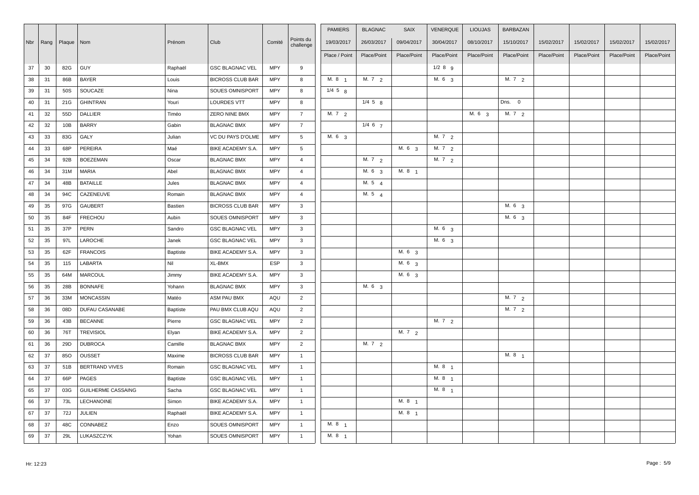|     |      |              |                           |          |                         |            |                        | <b>PAMIERS</b>    | <b>BLAGNAC</b>    | <b>SAIX</b>       | VENERQUE          | <b>LIOUJAS</b>    | <b>BARBAZAN</b>   |             |             |             |             |
|-----|------|--------------|---------------------------|----------|-------------------------|------------|------------------------|-------------------|-------------------|-------------------|-------------------|-------------------|-------------------|-------------|-------------|-------------|-------------|
| Nbr | Rang | Plaque   Nom |                           | Prénom   | Club                    | Comité     | Points du<br>challenge | 19/03/2017        | 26/03/2017        | 09/04/2017        | 30/04/2017        | 08/10/2017        | 15/10/2017        | 15/02/2017  | 15/02/2017  | 15/02/2017  | 15/02/2017  |
|     |      |              |                           |          |                         |            |                        | Place / Point     | Place/Point       | Place/Point       | Place/Point       | Place/Point       | Place/Point       | Place/Point | Place/Point | Place/Point | Place/Point |
| 37  | 30   | 82G          | <b>GUY</b>                | Raphaël  | <b>GSC BLAGNAC VEL</b>  | MPY        | 9                      |                   |                   |                   | $1/2$ 8 $9$       |                   |                   |             |             |             |             |
| 38  | 31   | 86B          | <b>BAYER</b>              | Louis    | <b>BICROSS CLUB BAR</b> | <b>MPY</b> | 8                      | M. 8 <sub>1</sub> | M. $7\frac{2}{2}$ |                   | M. 6 <sub>3</sub> |                   | M. $7\frac{2}{2}$ |             |             |             |             |
| 39  | 31   | 50S          | SOUCAZE                   | Nina     | SOUES OMNISPORT         | MPY        | 8                      | $1/4$ 5 $8$       |                   |                   |                   |                   |                   |             |             |             |             |
| 40  | 31   | 21G          | <b>GHINTRAN</b>           | Youri    | LOURDES VTT             | <b>MPY</b> | 8                      |                   | $1/4$ 5 $8$       |                   |                   |                   | Dns. 0            |             |             |             |             |
| 41  | 32   | 55D          | DALLIER                   | Timéo    | ZERO NINE BMX           | <b>MPY</b> | $\overline{7}$         | M. $7\frac{2}{2}$ |                   |                   |                   | M. 6 <sub>3</sub> | M. $7\frac{2}{2}$ |             |             |             |             |
| 42  | 32   | 10B          | <b>BARRY</b>              | Gabin    | <b>BLAGNAC BMX</b>      | MPY        | $\overline{7}$         |                   | $1/4$ 6 $7$       |                   |                   |                   |                   |             |             |             |             |
| 43  | 33   | 83G          | GALY                      | Julian   | VC DU PAYS D'OLME       | MPY        | 5                      | M. 6 3            |                   |                   | M. 7 2            |                   |                   |             |             |             |             |
| 44  | 33   | 68P          | PEREIRA                   | Maé      | BIKE ACADEMY S.A.       | <b>MPY</b> | 5                      |                   |                   | M. 6 3            | M. 7 2            |                   |                   |             |             |             |             |
| 45  | 34   | 92B          | <b>BOEZEMAN</b>           | Oscar    | <b>BLAGNAC BMX</b>      | <b>MPY</b> | $\overline{4}$         |                   | M. 7 2            |                   | M. 7 2            |                   |                   |             |             |             |             |
| 46  | 34   | 31M          | <b>MARIA</b>              | Abel     | <b>BLAGNAC BMX</b>      | MPY        | $\overline{4}$         |                   | M. 6 3            | M. 8 1            |                   |                   |                   |             |             |             |             |
| 47  | 34   | 48B          | <b>BATAILLE</b>           | Jules    | <b>BLAGNAC BMX</b>      | MPY        | $\overline{4}$         |                   | M. 5 4            |                   |                   |                   |                   |             |             |             |             |
| 48  | 34   | 94C          | CAZENEUVE                 | Romain   | <b>BLAGNAC BMX</b>      | <b>MPY</b> | $\overline{4}$         |                   | M. 5 4            |                   |                   |                   |                   |             |             |             |             |
| 49  | 35   | 97G          | GAUBERT                   | Bastien  | <b>BICROSS CLUB BAR</b> | MPY        | $\mathbf{3}$           |                   |                   |                   |                   |                   | M. 6 <sub>3</sub> |             |             |             |             |
| 50  | 35   | 84F          | <b>FRECHOU</b>            | Aubin    | SOUES OMNISPORT         | <b>MPY</b> | $\mathbf{3}$           |                   |                   |                   |                   |                   | M. 6 <sub>3</sub> |             |             |             |             |
| 51  | 35   | 37P          | PERN                      | Sandro   | <b>GSC BLAGNAC VEL</b>  | <b>MPY</b> | $\mathbf{3}$           |                   |                   |                   | M. 6 3            |                   |                   |             |             |             |             |
| 52  | 35   | 97L          | LAROCHE                   | Janek    | <b>GSC BLAGNAC VEL</b>  | <b>MPY</b> | $\mathbf{3}$           |                   |                   |                   | M. $6\frac{3}{3}$ |                   |                   |             |             |             |             |
| 53  | 35   | 62F          | <b>FRANCOIS</b>           | Baptiste | BIKE ACADEMY S.A.       | <b>MPY</b> | 3                      |                   |                   | M. 6 <sub>3</sub> |                   |                   |                   |             |             |             |             |
| 54  | 35   | 115          | LABARTA                   | Nil      | XL-BMX                  | <b>ESP</b> | $\mathbf{3}$           |                   |                   | M. 6 3            |                   |                   |                   |             |             |             |             |
| 55  | 35   | 64M          | <b>MARCOUL</b>            | Jimmy    | BIKE ACADEMY S.A.       | <b>MPY</b> | $\mathbf{3}$           |                   |                   | M. 6 3            |                   |                   |                   |             |             |             |             |
| 56  | 35   | 28B          | <b>BONNAFE</b>            | Yohann   | <b>BLAGNAC BMX</b>      | MPY        | 3                      |                   | M. 6 3            |                   |                   |                   |                   |             |             |             |             |
| 57  | 36   | 33M          | <b>MONCASSIN</b>          | Matéo    | ASM PAU BMX             | AQU        | $\overline{2}$         |                   |                   |                   |                   |                   | M. 72             |             |             |             |             |
| 58  | 36   | 08D          | DUFAU CASANABE            | Baptiste | PAU BMX CLUB AQU        | AQU        | $\overline{2}$         |                   |                   |                   |                   |                   | M. 72             |             |             |             |             |
| 59  | 36   | 43B          | <b>BECANNE</b>            | Pierre   | <b>GSC BLAGNAC VEL</b>  | MPY        | $\overline{2}$         |                   |                   |                   | M. 7 2            |                   |                   |             |             |             |             |
| 60  | 36   | 76T          | <b>TREVISIOL</b>          | Elyan    | BIKE ACADEMY S.A.       | <b>MPY</b> | $\overline{2}$         |                   |                   | M. 7 2            |                   |                   |                   |             |             |             |             |
| 61  | 36   | 29D          | <b>DUBROCA</b>            | Camille  | <b>BLAGNAC BMX</b>      | MPY        | $\overline{2}$         |                   | M. $7\frac{2}{2}$ |                   |                   |                   |                   |             |             |             |             |
| 62  | 37   | 85O          | <b>OUSSET</b>             | Maxime   | <b>BICROSS CLUB BAR</b> | MPY        | $\overline{1}$         |                   |                   |                   |                   |                   | M. 8 <sub>1</sub> |             |             |             |             |
| 63  | 37   | 51B          | <b>BERTRAND VIVES</b>     | Romain   | <b>GSC BLAGNAC VEL</b>  | MPY        | $\overline{1}$         |                   |                   |                   | M. $8 \t1$        |                   |                   |             |             |             |             |
| 64  | 37   | 66P          | PAGES                     | Baptiste | <b>GSC BLAGNAC VEL</b>  | <b>MPY</b> | $\overline{1}$         |                   |                   |                   | M. 8 <sub>1</sub> |                   |                   |             |             |             |             |
| 65  | 37   | 03G          | <b>GUILHERME CASSAING</b> | Sacha    | <b>GSC BLAGNAC VEL</b>  | MPY        | $\overline{1}$         |                   |                   |                   | M. 8 <sub>1</sub> |                   |                   |             |             |             |             |
| 66  | 37   | 73L          | LECHANOINE                | Simon    | BIKE ACADEMY S.A.       | MPY        | $\overline{1}$         |                   |                   | M. 8 <sub>1</sub> |                   |                   |                   |             |             |             |             |
| 67  | 37   | 72J          | <b>JULIEN</b>             | Raphaël  | BIKE ACADEMY S.A.       | MPY        | $\mathbf{1}$           |                   |                   | M. 8 1            |                   |                   |                   |             |             |             |             |
| 68  | 37   | 48C          | CONNABEZ                  | Enzo     | SOUES OMNISPORT         | <b>MPY</b> | $\overline{1}$         | M. 8 <sub>1</sub> |                   |                   |                   |                   |                   |             |             |             |             |
| 69  | 37   | 29L          | LUKASZCZYK                | Yohan    | SOUES OMNISPORT         | <b>MPY</b> | $\overline{1}$         | M. 8 1            |                   |                   |                   |                   |                   |             |             |             |             |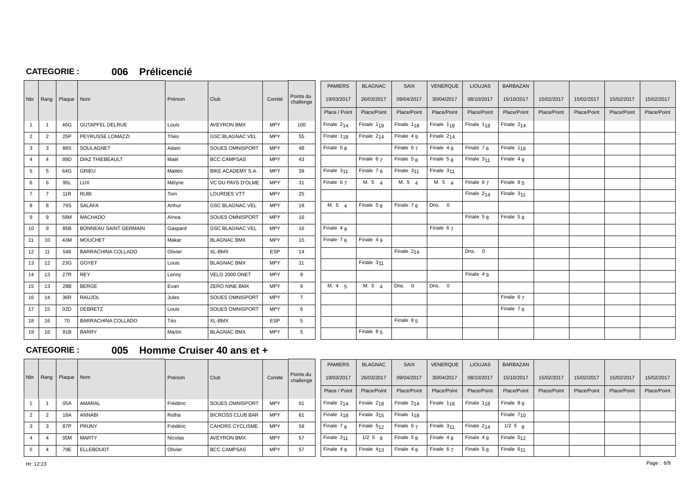### **CATEGORIE : 006 Prélicencié**

| Nbr             | Rang           | Plaque   Nom |                              | Prénom  | Club                     | Comité     | Points du<br>challenge | <b>PAMIERS</b><br>19/03/2017<br>Place / Point | <b>BLAGNAC</b><br>26/03/2017<br>Place/Point | <b>SAIX</b><br>09/04/2017<br>Place/Point | VENERQUE<br>30/04/2017<br>Place/Point | <b>LIOUJAS</b><br>08/10/2017<br>Place/Point | <b>BARBAZAN</b><br>15/10/2017<br>Place/Point | 15/02/2017<br>Place/Point | 15/02/2017<br>Place/Point | 15/02/2017<br>Place/Point | 15/02/2017<br>Place/Point |
|-----------------|----------------|--------------|------------------------------|---------|--------------------------|------------|------------------------|-----------------------------------------------|---------------------------------------------|------------------------------------------|---------------------------------------|---------------------------------------------|----------------------------------------------|---------------------------|---------------------------|---------------------------|---------------------------|
|                 |                |              |                              |         |                          |            |                        |                                               |                                             |                                          |                                       |                                             |                                              |                           |                           |                           |                           |
| $\mathbf{1}$    | $\overline{1}$ | 46G          | <b>GUTAPFEL DELRUE</b>       | Louis   | <b>AVEYRON BMX</b>       | <b>MPY</b> | 100                    | Finale $2_{14}$                               | Finale $1_{18}$                             | Finale $1_{18}$                          | Finale $1_{18}$                       | Finale 1 <sub>18</sub>                      | Finale $2_{14}$                              |                           |                           |                           |                           |
| $\overline{2}$  | $\overline{2}$ | 25P          | PEYRUSSE LOMAZZI             | Théo    | <b>GSC BLAGNAC VEL</b>   | <b>MPY</b> | 55                     | Finale $1_{18}$                               | Finale $2_{14}$                             | Finale $4g$                              | Finale $2_{14}$                       |                                             |                                              |                           |                           |                           |                           |
| 3               | 3              | 88S          | SOULAGNET                    | Adam    | <b>SOUES OMNISPORT</b>   | <b>MPY</b> | 48                     | Finale $58$                                   |                                             | Finale $67$                              | Finale 4 q                            | Finale $76$                                 | Finale $1_{18}$                              |                           |                           |                           |                           |
| $\overline{4}$  | $\overline{4}$ | 89D          | <b>DIAZ THIEBEAULT</b>       | Maël    | <b>BCC CAMPSAS</b>       | <b>MPY</b> | 43                     |                                               | Finale $67$                                 | Finale $58$                              | Finale $58$                           | Finale $311$                                | Finale $4g$                                  |                           |                           |                           |                           |
| 5               | -5             | 64G          | GRIEU                        | Mattéo  | <b>BIKE ACADEMY S.A.</b> | <b>MPY</b> | 39                     | Finale $311$                                  | Finale $76$                                 | Finale 3 <sub>11</sub>                   | Finale $311$                          |                                             |                                              |                           |                           |                           |                           |
| 6               | 6              | 95L          | LUX                          | Mélyne  | VC DU PAYS D'OLME        | <b>MPY</b> | 31                     | Finale $67$                                   | M. 5 $4$                                    | M. 5 $\Delta$                            | M. 54                                 | Finale $67$                                 | Finale $85$                                  |                           |                           |                           |                           |
| $\overline{7}$  | 7              | 11R          | <b>RUBI</b>                  | Tom     | <b>LOURDES VTT</b>       | <b>MPY</b> | 25                     |                                               |                                             |                                          |                                       | Finale 214                                  | Finale 3 <sub>11</sub>                       |                           |                           |                           |                           |
| 8               | 8              | 79S          | <b>SALAFA</b>                | Arthur  | <b>GSC BLAGNAC VEL</b>   | <b>MPY</b> | 18                     | M. 5 $\Delta$                                 | Finale $5R$                                 | Finale $76$                              | Dns. 0                                |                                             |                                              |                           |                           |                           |                           |
| 9               | 9              | 58M          | <b>MACHADO</b>               | Aïnoa   | <b>SOUES OMNISPORT</b>   | <b>MPY</b> | 16                     |                                               |                                             |                                          |                                       | Finale $58$                                 | Finale $58$                                  |                           |                           |                           |                           |
| 10 <sup>1</sup> | 9              | 85B          | <b>BONNEAU SAINT GERMAIN</b> | Gaspard | <b>GSC BLAGNAC VEL</b>   | <b>MPY</b> | 16                     | Finale 4 g                                    |                                             |                                          | Finale 67                             |                                             |                                              |                           |                           |                           |                           |
| 11              | 10             | 43M          | <b>MOUCHET</b>               | Makar   | <b>BLAGNAC BMX</b>       | <b>MPY</b> | 15                     | Finale $76$                                   | Finale 4 9                                  |                                          |                                       |                                             |                                              |                           |                           |                           |                           |
| 12              | 11             | 548          | <b>BARRACHINA COLLADO</b>    | Olivier | XL-BMX                   | <b>ESP</b> | 14                     |                                               |                                             | Finale 214                               |                                       | Dns. 0                                      |                                              |                           |                           |                           |                           |
| 13              | 12             | 23G          | GOYET                        | Louis   | <b>BLAGNAC BMX</b>       | <b>MPY</b> | 11                     |                                               | Finale 3 <sub>11</sub>                      |                                          |                                       |                                             |                                              |                           |                           |                           |                           |
| 14              | 13             | 27R          | <b>REY</b>                   | Lenny   | VELO 2000 ONET           | <b>MPY</b> | 9                      |                                               |                                             |                                          |                                       | Finale 4 9                                  |                                              |                           |                           |                           |                           |
| 15              | 13             | 28B          | <b>BERGE</b>                 | Evan    | ZERO NINE BMX            | <b>MPY</b> | 9                      | M. $4\overline{5}$                            | M. $5\frac{4}{9}$                           | Dns. 0                                   | Dns. 0                                |                                             |                                              |                           |                           |                           |                           |
| 16              | 14             | 36R          | RAUJOL                       | Jules   | <b>SOUES OMNISPORT</b>   | <b>MPY</b> | $\overline{7}$         |                                               |                                             |                                          |                                       |                                             | Finale $67$                                  |                           |                           |                           |                           |
| 17              | 15             | 02D          | <b>DEBRETZ</b>               | Louis   | <b>SOUES OMNISPORT</b>   | <b>MPY</b> | 6                      |                                               |                                             |                                          |                                       |                                             | Finale $76$                                  |                           |                           |                           |                           |
| 18              | 16             | 70           | BARRACHINA COLLADO           | Téo     | XL-BMX                   | <b>ESP</b> | 5                      |                                               |                                             | Finale $85$                              |                                       |                                             |                                              |                           |                           |                           |                           |
| 19              | 16             | 91B          | <b>BARRY</b>                 | Martin  | <b>BLAGNAC BMX</b>       | <b>MPY</b> | 5                      |                                               | Finale $85$                                 |                                          |                                       |                                             |                                              |                           |                           |                           |                           |

### **CATEGORIE : 005 Homme Cruiser 40 ans et +**

|     |   |                     |                  |          |                         |            |                        | <b>PAMIERS</b>         | <b>BLAGNAC</b>         | <b>SAIX</b>            | VENERQUE               | <b>LIOUJAS</b>         | <b>BARBAZAN</b> |             |             |             |             |
|-----|---|---------------------|------------------|----------|-------------------------|------------|------------------------|------------------------|------------------------|------------------------|------------------------|------------------------|-----------------|-------------|-------------|-------------|-------------|
| Nbr |   | Rang   Plaque   Nom |                  | Prénom   | Club                    | Comité     | Points du<br>challenge | 19/03/2017             | 26/03/2017             | 09/04/2017             | 30/04/2017             | 08/10/2017             | 15/10/2017      | 15/02/2017  | 15/02/2017  | 15/02/2017  | 15/02/2017  |
|     |   |                     |                  |          |                         |            |                        | Place / Point          | Place/Point            | Place/Point            | Place/Point            | Place/Point            | Place/Point     | Place/Point | Place/Point | Place/Point | Place/Point |
|     |   | 05A                 | AMARAL           | Frédéric | SOUES OMNISPORT         | <b>MPY</b> | 91                     | Finale $214$           | Finale 218             | Finale 214             | Finale 1 <sub>18</sub> | Finale 1 <sub>18</sub> | Finale 8 9      |             |             |             |             |
|     |   | 18A                 | <b>ANNABI</b>    | Ridha    | <b>BICROSS CLUB BAR</b> | <b>MPY</b> | 61                     | Finale 1 <sub>18</sub> | Finale 315             | Finale 1 <sub>18</sub> |                        |                        | Finale $710$    |             |             |             |             |
| 3   | 3 | 87P                 | <b>PRUNY</b>     | Frédéric | CAHORS CYCLISME         | <b>MPY</b> | 58                     | Finale $76$            | Finale 512             | Finale 67              | Finale 311             | Finale $214$           | $1/2$ 5 $\mu$   |             |             |             |             |
|     |   | 35M                 | <b>MARTY</b>     | Nicolas  | AVEYRON BMX             | <b>MPY</b> | 57                     | Finale 3 <sub>11</sub> | $1/2$ 5 $\mu$          | Finale $58$            | Finale 4 q             | Finale 4 9             | Finale 512      |             |             |             |             |
|     |   | 79E                 | <b>ELLEBOUDT</b> | Olivier  | <b>BCC CAMPSAS</b>      | <b>MPY</b> | 57                     | Finale 4 q             | Finale 4 <sub>13</sub> | Finale 4 q             | Finale 67              | Finale $58$            | Finale 611      |             |             |             |             |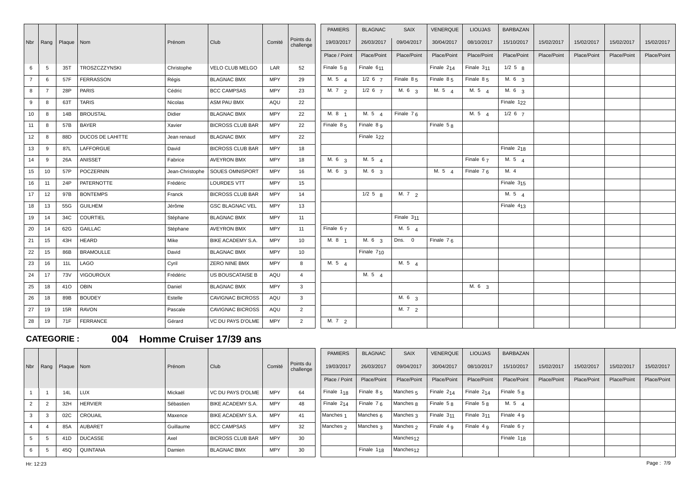| Nbr            | $\vert$ Rang $\vert$ | Plaque   Nom |                         | Prénom      | Club                              | Comité     | Points du       | <b>PAMIERS</b><br>19/03/2017 | <b>BLAGNAC</b><br>26/03/2017 | <b>SAIX</b><br>09/04/2017 | <b>VENERQUE</b><br>30/04/2017 | <b>LIOUJAS</b><br>08/10/2017 | <b>BARBAZAN</b><br>15/10/2017 | 15/02/2017  | 15/02/2017  | 15/02/2017  | 15/02/2017  |
|----------------|----------------------|--------------|-------------------------|-------------|-----------------------------------|------------|-----------------|------------------------------|------------------------------|---------------------------|-------------------------------|------------------------------|-------------------------------|-------------|-------------|-------------|-------------|
|                |                      |              |                         |             |                                   |            | challenge       |                              |                              |                           |                               |                              |                               |             |             |             |             |
|                |                      |              |                         |             |                                   |            |                 | Place / Point                | Place/Point                  | Place/Point               | Place/Point                   | Place/Point                  | Place/Point                   | Place/Point | Place/Point | Place/Point | Place/Point |
| 6              | 5                    | 35T          | TROSZCZZYNSKI           | Christophe  | VELO CLUB MELGO                   | LAR        | 52              | Finale $58$                  | Finale 6 <sub>11</sub>       |                           | Finale $2_{14}$               | Finale $311$                 | $1/2$ 5 $8$                   |             |             |             |             |
| $\overline{7}$ | 6                    | 57F          | <b>FERRASSON</b>        | Régis       | <b>BLAGNAC BMX</b>                | <b>MPY</b> | 29              | M. $5\quad 4$                | $1/2$ 6 $7$                  | Finale $85$               | Finale $85$                   | Finale $85$                  | M. 6 <sub>3</sub>             |             |             |             |             |
| 8              | $\overline{7}$       | 28P          | PARIS                   | Cédric      | <b>BCC CAMPSAS</b>                | <b>MPY</b> | 23              | $\overline{M.}$ 7 2          | $1/2$ 6 $7$                  | M. 6 <sub>3</sub>         | M. $5\quad 4$                 | M. $5\quad 4$                | M. 6 <sub>3</sub>             |             |             |             |             |
| 9              | 8                    | 63T          | <b>TARIS</b>            | Nicolas     | ASM PAU BMX                       | AQU        | 22              |                              |                              |                           |                               |                              | Finale 1 <sub>22</sub>        |             |             |             |             |
| 10             | 8                    | 14B          | <b>BROUSTAL</b>         | Didier      | <b>BLAGNAC BMX</b>                | <b>MPY</b> | 22              | M. 8 1                       | M. 5 $\boldsymbol{\Lambda}$  | Finale 7 6                |                               | M. 5 $\Delta$                | $1/2$ 6 $7$                   |             |             |             |             |
| 11             | 8                    | 57B          | <b>BAYER</b>            | Xavier      | <b>BICROSS CLUB BAR</b>           | <b>MPY</b> | 22              | Finale $85$                  | Finale $8g$                  |                           | Finale 5 8                    |                              |                               |             |             |             |             |
| 12             | 8                    | 88D          | <b>DUCOS DE LAHITTE</b> | Jean renaud | <b>BLAGNAC BMX</b>                | <b>MPY</b> | 22              |                              | Finale 1 <sub>22</sub>       |                           |                               |                              |                               |             |             |             |             |
| 13             | 9                    | 87L          | LAFFORGUE               | David       | <b>BICROSS CLUB BAR</b>           | <b>MPY</b> | 18              |                              |                              |                           |                               |                              | Finale 218                    |             |             |             |             |
| 14             | 9                    | 26A          | ANISSET                 | Fabrice     | <b>AVEYRON BMX</b>                | <b>MPY</b> | 18              | M. 6 3                       | M. 54                        |                           |                               | Finale 67                    | M. 5 4                        |             |             |             |             |
| 15             | 10                   | 57P          | POCZERNIN               |             | Jean-Christophe   SOUES OMNISPORT | <b>MPY</b> | 16              | M. 6 3                       | M. 6 3                       |                           | M. 5 4                        | Finale $76$                  | M. 4                          |             |             |             |             |
| 16             | 11                   | 24P          | <b>PATERNOTTE</b>       | Frédéric    | LOURDES VTT                       | <b>MPY</b> | 15              |                              |                              |                           |                               |                              | Finale 3 <sub>15</sub>        |             |             |             |             |
| 17             | 12                   | 97B          | <b>BONTEMPS</b>         | Franck      | <b>BICROSS CLUB BAR</b>           | <b>MPY</b> | 14              |                              | $1/2$ 5 $8$                  | M.72                      |                               |                              | M. 5 $4$                      |             |             |             |             |
| 18             | 13                   | 55G          | <b>GUILHEM</b>          | Jérôme      | <b>GSC BLAGNAC VEL</b>            | <b>MPY</b> | 13              |                              |                              |                           |                               |                              | Finale $413$                  |             |             |             |             |
| 19             | 14                   | 34C          | <b>COURTIEL</b>         | Stéphane    | <b>BLAGNAC BMX</b>                | <b>MPY</b> | 11              |                              |                              | Finale 3 <sub>11</sub>    |                               |                              |                               |             |             |             |             |
| 20             | 14                   | 62G          | GAILLAC                 | Stéphane    | <b>AVEYRON BMX</b>                | <b>MPY</b> | 11              | Finale $67$                  |                              | M. $5\quad 4$             |                               |                              |                               |             |             |             |             |
| 21             | 15                   | 43H          | <b>HEARD</b>            | Mike        | <b>BIKE ACADEMY S.A.</b>          | <b>MPY</b> | 10 <sup>1</sup> | M. 8 <sub>1</sub>            | M. 6 <sub>3</sub>            | Dns. 0                    | Finale $76$                   |                              |                               |             |             |             |             |
| 22             | 15                   | 86B          | <b>BRAMOULLE</b>        | David       | <b>BLAGNAC BMX</b>                | <b>MPY</b> | 10              |                              | Finale $710$                 |                           |                               |                              |                               |             |             |             |             |
| 23             | 16                   | 11L          | LAGO                    | Cyril       | ZERO NINE BMX                     | <b>MPY</b> | 8               | M. 5 4                       |                              | M. 5 4                    |                               |                              |                               |             |             |             |             |
| 24             | 17                   | <b>73V</b>   | <b>VIGOUROUX</b>        | Frédéric    | US BOUSCATAISE B                  | AQU        | $\overline{4}$  |                              | M. 5 4                       |                           |                               |                              |                               |             |             |             |             |
| 25             | 18                   | 410          | OBIN                    | Daniel      | <b>BLAGNAC BMX</b>                | MPY        | $\mathbf{3}$    |                              |                              |                           |                               | M. 6 3                       |                               |             |             |             |             |
| 26             | 18                   | 89B          | <b>BOUDEY</b>           | Estelle     | <b>CAVIGNAC BICROSS</b>           | AQU        | $\mathbf{3}$    |                              |                              | M. 6 3                    |                               |                              |                               |             |             |             |             |
| 27             | 19                   | 15R          | <b>RAVON</b>            | Pascale     | <b>CAVIGNAC BICROSS</b>           | AQU        | $\overline{2}$  |                              |                              | M. 7 2                    |                               |                              |                               |             |             |             |             |
| 28             | 19                   | 71F          | FERRANCE                | Gérard      | VC DU PAYS D'OLME                 | <b>MPY</b> | $\overline{2}$  | M. 7 2                       |                              |                           |                               |                              |                               |             |             |             |             |

## **CATEGORIE : 004 Homme Cruiser 17/39 ans**

|     |    |                     |                |           |                          |            |                        | <b>PAMIERS</b>       | <b>BLAGNAC</b>     | <b>SAIX</b>           | <b>VENERQUE</b> | <b>LIOUJAS</b> | <b>BARBAZAN</b> |             |             |             |             |
|-----|----|---------------------|----------------|-----------|--------------------------|------------|------------------------|----------------------|--------------------|-----------------------|-----------------|----------------|-----------------|-------------|-------------|-------------|-------------|
| Nbr |    | Rang   Plaque   Nom |                | Prénom    | Club                     | Comité     | Points du<br>challenge | 19/03/2017           | 26/03/2017         | 09/04/2017            | 30/04/2017      | 08/10/2017     | 15/10/2017      | 15/02/2017  | 15/02/2017  | 15/02/2017  | 15/02/2017  |
|     |    |                     |                |           |                          |            |                        | Place / Point        | Place/Point        | Place/Point           | Place/Point     | Place/Point    | Place/Point     | Place/Point | Place/Point | Place/Point | Place/Point |
|     |    | 14L                 | <b>LUX</b>     | Mickaël   | VC DU PAYS D'OLME        | <b>MPY</b> | 64                     | $ $ Finale $1_{18}$  | Finale 8.5         | Manches <sub>5</sub>  | Finale 214      | Finale 214     | Finale 5 g      |             |             |             |             |
|     | ∠  | 32H                 | <b>HERVIER</b> | Sébastien | <b>BIKE ACADEMY S.A.</b> | <b>MPY</b> | 48                     | Finale $2_{14}$      | Finale $76$        | Manches <sub>R</sub>  | Finale $58$     | Finale $5R$    | M. 5 $\mu$      |             |             |             |             |
|     | -3 | 02C                 | CROUAIL        | Maxence   | <b>BIKE ACADEMY S.A.</b> | <b>MPY</b> | 41                     | Manches <sub>1</sub> | Manches 6          | Manches 3             | Finale $311$    | Finale $311$   | Finale $49$     |             |             |             |             |
|     |    | 85A                 | <b>AUBARET</b> | Guillaume | <b>BCC CAMPSAS</b>       | <b>MPY</b> | 32                     | Manches <sub>2</sub> | Manches 3          | Manches <sub>2</sub>  | Finale $49$     | Finale $49$    | Finale $67$     |             |             |             |             |
|     |    | 41D                 | <b>DUCASSE</b> | Axel      | <b>BICROSS CLUB BAR</b>  | <b>MPY</b> | 30                     |                      |                    | Manches <sub>12</sub> |                 |                | Finale $1_{18}$ |             |             |             |             |
| 6   |    | 45Q                 | QUINTANA       | Damien    | <b>BLAGNAC BMX</b>       | <b>MPY</b> | 30                     |                      | $F$ i Finale $118$ | Manches <sub>12</sub> |                 |                |                 |             |             |             |             |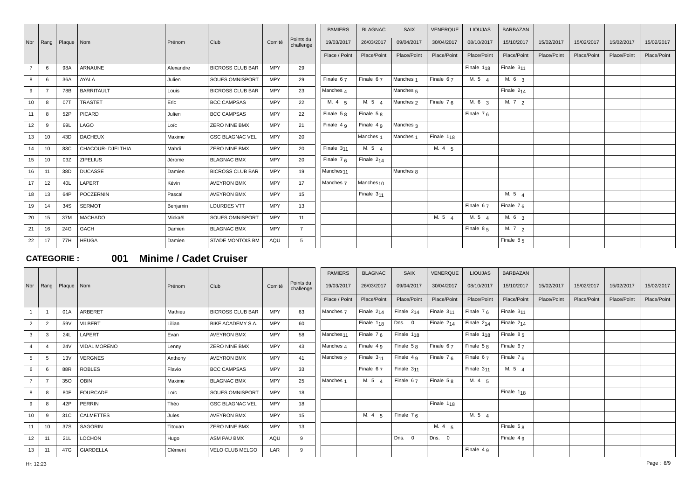|                |      |              |                   |           |                         |            |                        | <b>PAMIERS</b>        | <b>BLAGNAC</b>        | <b>SAIX</b>          | VENERQUE               | <b>LIOUJAS</b>    | <b>BARBAZAN</b>   |             |             |             |             |
|----------------|------|--------------|-------------------|-----------|-------------------------|------------|------------------------|-----------------------|-----------------------|----------------------|------------------------|-------------------|-------------------|-------------|-------------|-------------|-------------|
| Nbr            | Rang | Plaque   Nom |                   | Prénom    | Club                    | Comité     | Points du<br>challenge | 19/03/2017            | 26/03/2017            | 09/04/2017           | 30/04/2017             | 08/10/2017        | 15/10/2017        | 15/02/2017  | 15/02/2017  | 15/02/2017  | 15/02/2017  |
|                |      |              |                   |           |                         |            |                        | Place / Point         | Place/Point           | Place/Point          | Place/Point            | Place/Point       | Place/Point       | Place/Point | Place/Point | Place/Point | Place/Point |
| $\overline{7}$ | 6    | 98A          | <b>ARNAUNE</b>    | Alexandre | <b>BICROSS CLUB BAR</b> | <b>MPY</b> | 29                     |                       |                       |                      |                        | Finale $1_{18}$   | Finale $311$      |             |             |             |             |
| 8              | 6    | 36A          | AYALA             | Julien    | SOUES OMNISPORT         | <b>MPY</b> | 29                     | Finale 67             | Finale $67$           | Manches <sub>1</sub> | Finale $67$            | M. 5 $4$          | M. $6\frac{3}{3}$ |             |             |             |             |
| 9              |      | 78B          | <b>BARRITAULT</b> | Louis     | <b>BICROSS CLUB BAR</b> | <b>MPY</b> | 23                     | Manches 4             |                       | Manches <sub>5</sub> |                        |                   | Finale $2_{14}$   |             |             |             |             |
| 10             | -8   | 07T          | <b>TRASTET</b>    | Eric      | <b>BCC CAMPSAS</b>      | <b>MPY</b> | 22                     | M. $4\overline{5}$    | M. 5 $4$              | Manches 2            | Finale $76$            | M. 6 <sub>3</sub> | M. $7\frac{2}{2}$ |             |             |             |             |
| 11             | 8    | 52P          | PICARD            | Julien    | <b>BCC CAMPSAS</b>      | <b>MPY</b> | 22                     | Finale $5R$           | Finale $58$           |                      |                        | Finale $76$       |                   |             |             |             |             |
| 12             | -9   | 99L          | LAGO              | Loïc      | <b>ZERO NINE BMX</b>    | <b>MPY</b> | 21                     | Finale 4 g            | Finale 4 9            | Manches 3            |                        |                   |                   |             |             |             |             |
| 13             | 10   | 43D          | <b>DACHEUX</b>    | Maxime    | <b>GSC BLAGNAC VEL</b>  | <b>MPY</b> | 20                     |                       | Manches <sub>1</sub>  | Manches <sub>1</sub> | Finale 1 <sub>18</sub> |                   |                   |             |             |             |             |
| 14             | 10   | 83C          | CHACOUR- DJELTHIA | Mahdi     | <b>ZERO NINE BMX</b>    | <b>MPY</b> | 20                     | Finale 311            | M. 5 4                |                      | M. 4 5                 |                   |                   |             |             |             |             |
| 15             | 10   | 03Z          | <b>ZIPELIUS</b>   | Jérome    | <b>BLAGNAC BMX</b>      | <b>MPY</b> | 20                     | Finale $76$           | Finale $214$          |                      |                        |                   |                   |             |             |             |             |
| 16             | 11   | 38D          | <b>DUCASSE</b>    | Damien    | <b>BICROSS CLUB BAR</b> | <b>MPY</b> | 19                     | Manches <sub>11</sub> |                       | Manches 8            |                        |                   |                   |             |             |             |             |
| 17             | 12   | 40L          | LAPERT            | Kévin     | <b>AVEYRON BMX</b>      | <b>MPY</b> | 17                     | Manches <sub>7</sub>  | Manches <sub>10</sub> |                      |                        |                   |                   |             |             |             |             |
| 18             | 13   | 64P          | POCZERNIN         | Pascal    | <b>AVEYRON BMX</b>      | <b>MPY</b> | 15                     |                       | Finale $311$          |                      |                        |                   | M. $5\frac{4}{4}$ |             |             |             |             |
| 19             | 14   | 34S          | <b>SERMOT</b>     | Benjamin  | <b>LOURDES VTT</b>      | <b>MPY</b> | 13                     |                       |                       |                      |                        | Finale $67$       | Finale $76$       |             |             |             |             |
| 20             | 15   | 37M          | <b>MACHADO</b>    | Mickaël   | SOUES OMNISPORT         | <b>MPY</b> | 11                     |                       |                       |                      | M. $5\quad 4$          | M. $5\quad 4$     | M. 6 <sub>3</sub> |             |             |             |             |
| 21             | 16   | 24G          | GACH              | Damien    | <b>BLAGNAC BMX</b>      | <b>MPY</b> | $\overline{7}$         |                       |                       |                      |                        | Finale $85$       | M. $7\frac{2}{2}$ |             |             |             |             |
| 22             | 17   | 77H          | <b>HEUGA</b>      | Damien    | STADE MONTOIS BM        | AQU        | 5                      |                       |                       |                      |                        |                   | Finale $85$       |             |             |             |             |

### **CATEGORIE : 001 Minime / Cadet Cruiser**

|                 |                |              |                     |         |                         |            |                        | <b>PAMIERS</b>        | <b>BLAGNAC</b>         | SAIX                   | <b>VENERQUE</b>   | <b>LIOUJAS</b>         | <b>BARBAZAN</b>        |             |             |             |             |
|-----------------|----------------|--------------|---------------------|---------|-------------------------|------------|------------------------|-----------------------|------------------------|------------------------|-------------------|------------------------|------------------------|-------------|-------------|-------------|-------------|
| Nbr             | Rang           | Plaque   Nom |                     | Prénom  | Club                    | Comité     | Points du<br>challenge | 19/03/2017            | 26/03/2017             | 09/04/2017             | 30/04/2017        | 08/10/2017             | 15/10/2017             | 15/02/2017  | 15/02/2017  | 15/02/2017  | 15/02/2017  |
|                 |                |              |                     |         |                         |            |                        | Place / Point         | Place/Point            | Place/Point            | Place/Point       | Place/Point            | Place/Point            | Place/Point | Place/Point | Place/Point | Place/Point |
|                 |                | 01A          | ARBERET             | Mathieu | <b>BICROSS CLUB BAR</b> | <b>MPY</b> | 63                     | Manches <sub>7</sub>  | Finale $214$           | Finale 214             | Finale $311$      | Finale $76$            | Finale 3 <sub>11</sub> |             |             |             |             |
| $\overline{2}$  | $\overline{2}$ | 59V          | VILBERT             | Lilian  | BIKE ACADEMY S.A.       | <b>MPY</b> | 60                     |                       | Finale $1_{18}$        | Dns. 0                 | Finale $2_{14}$   | Finale $2_{14}$        | Finale $2_{14}$        |             |             |             |             |
| 3               | 3              | 24L          | LAPERT              | Evan    | <b>AVEYRON BMX</b>      | <b>MPY</b> | 58                     | Manches <sub>11</sub> | Finale $76$            | Finale 1 <sub>18</sub> |                   | Finale 1 <sub>18</sub> | Finale $85$            |             |             |             |             |
| $\overline{4}$  | $\overline{4}$ | <b>24V</b>   | <b>VIDAL MORENO</b> | Lenny   | <b>ZERO NINE BMX</b>    | <b>MPY</b> | 43                     | Manches 4             | Finale 4 9             | Finale $58$            | Finale 67         | Finale $58$            | Finale $67$            |             |             |             |             |
| 5               | -5             | 13V          | <b>VERGNES</b>      | Anthony | <b>AVEYRON BMX</b>      | <b>MPY</b> | 41                     | Manches <sub>2</sub>  | Finale 3 <sub>11</sub> | Finale 4 9             | Finale $76$       | Finale 67              | Finale $76$            |             |             |             |             |
| 6               | 6              | 88R          | <b>ROBLES</b>       | Flavio  | <b>BCC CAMPSAS</b>      | <b>MPY</b> | 33                     |                       | Finale 67              | Finale 3 <sub>11</sub> |                   | Finale 3 <sub>11</sub> | M. 5 4                 |             |             |             |             |
| $\overline{7}$  | -7             | 350          | <b>OBIN</b>         | Maxime  | <b>BLAGNAC BMX</b>      | <b>MPY</b> | 25                     | Manches <sub>1</sub>  | M. 5 $4$               | Finale $67$            | Finale $58$       | M. 4 5                 |                        |             |             |             |             |
| 8               | -8             | 80F          | <b>FOURCADE</b>     | Loïc    | SOUES OMNISPORT         | <b>MPY</b> | 18                     |                       |                        |                        |                   |                        | Finale 1 <sub>18</sub> |             |             |             |             |
| 9               | -8             | 42P          | PERRIN              | Théo    | <b>GSC BLAGNAC VEL</b>  | <b>MPY</b> | 18                     |                       |                        |                        | Finale $1_{18}$   |                        |                        |             |             |             |             |
| 10 <sup>1</sup> | -9             | 31C          | <b>CALMETTES</b>    | Jules   | <b>AVEYRON BMX</b>      | <b>MPY</b> | 15                     |                       | M. $4\overline{5}$     | Finale $76$            |                   | M. $5\quad 4$          |                        |             |             |             |             |
| 11              | 10             | 37S          | SAGORIN             | Titouan | <b>ZERO NINE BMX</b>    | <b>MPY</b> | 13                     |                       |                        |                        | M. $4\frac{1}{5}$ |                        | Finale $5g$            |             |             |             |             |
| 12              | 11             | 21L          | <b>LOCHON</b>       | Hugo    | ASM PAU BMX             | AQU        | 9                      |                       |                        | Dns. 0                 | Dns. 0            |                        | Finale $4g$            |             |             |             |             |
| 13              | 11             | 47G          | <b>GIARDELLA</b>    | Clément | VELO CLUB MELGO         | LAR        | 9                      |                       |                        |                        |                   | Finale 4 9             |                        |             |             |             |             |